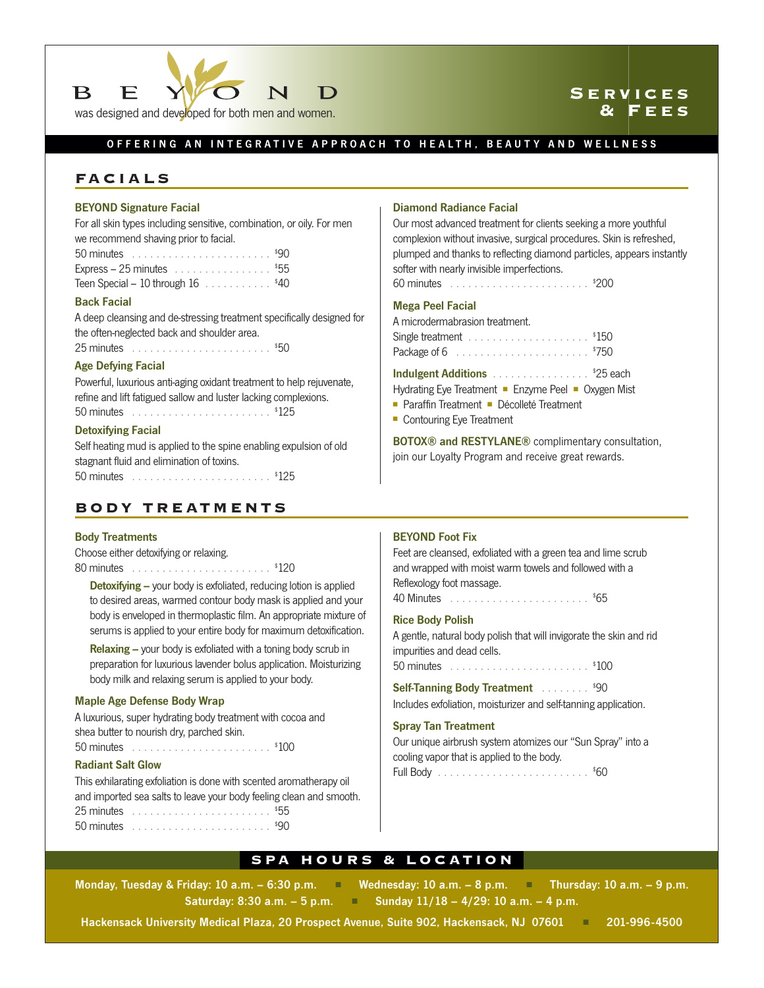

## **Services & Fees**

## OFFERING AN INTEGRATIVE APPROACH TO HEALTH, BEAUTY AND WELLNESS

## **FACIALS**

### BEYOND Signature Facial

For all skin types including sensitive, combination, or oily. For men we recommend shaving prior to facial.

| 50 minutes $\ldots \ldots \ldots \ldots \ldots \ldots \ldots$ \$90 |  |  |  |
|--------------------------------------------------------------------|--|--|--|
| Express – 25 minutes $\ldots \ldots \ldots \ldots \ldots$ \$55     |  |  |  |
| Teen Special $-10$ through $16$ , , , , \$40                       |  |  |  |

#### Back Facial

A deep cleansing and de-stressing treatment specifically designed for the often-neglected back and shoulder area. 25 minutes . . . . . . . . . . . . . . . . . . . . . . . \$ 50

## Age Defying Facial

Powerful, luxurious anti-aging oxidant treatment to help rejuvenate, refine and lift fatigued sallow and luster lacking complexions. 50 minutes . . . . . . . . . . . . . . . . . . . . . . . \$ 125

#### Detoxifying Facial

Self heating mud is applied to the spine enabling expulsion of old stagnant fluid and elimination of toxins. 50 minutes . . . . . . . . . . . . . . . . . . . . . . . \$ 125

## **BODY TREATMENTS**

### Body Treatments

Choose either detoxifying or relaxing. 80 minutes . . . . . . . . . . . . . . . . . . . . . . . \$ 120

**Detoxifying –** your body is exfoliated, reducing lotion is applied to desired areas, warmed contour body mask is applied and your body is enveloped in thermoplastic film. An appropriate mixture of serums is applied to your entire body for maximum detoxification.

Relaxing – your body is exfoliated with a toning body scrub in preparation for luxurious lavender bolus application. Moisturizing body milk and relaxing serum is applied to your body.

#### Maple Age Defense Body Wrap

A luxurious, super hydrating body treatment with cocoa and shea butter to nourish dry, parched skin.

50 minutes . . . . . . . . . . . . . . . . . . . . . . . \$ 100

### Radiant Salt Glow

This exhilarating exfoliation is done with scented aromatherapy oil and imported sea salts to leave your body feeling clean and smooth. 25 minutes . . . . . . . . . . . . . . . . . . . . . . . \$ 55 50 minutes . . . . . . . . . . . . . . . . . . . . . . . \$ 90

### Diamond Radiance Facial

Our most advanced treatment for clients seeking a more youthful complexion without invasive, surgical procedures. Skin is refreshed, plumped and thanks to reflecting diamond particles, appears instantly softer with nearly invisible imperfections.

60 minutes . . . . . . . . . . . . . . . . . . . . . . . \$ 200

#### Mega Peel Facial

A microdermabrasion treatment.

Indulgent Additions . . . . . . . . . . . . . . . \$25 each

Hydrating Eye Treatment ■ Enzyme Peel ■ Oxygen Mist

- Paraffin Treatment Décolleté Treatment
- Contouring Eye Treatment

BOTOX® and RESTYLANE® complimentary consultation, join our Loyalty Program and receive great rewards.

### BEYOND Foot Fix

Feet are cleansed, exfoliated with a green tea and lime scrub and wrapped with moist warm towels and followed with a Reflexology foot massage.

40 Minutes . . . . . . . . . . . . . . . . . . . . . . . \$ 65

### Rice Body Polish

A gentle, natural body polish that will invigorate the skin and rid impurities and dead cells.

50 minutes . . . . . . . . . . . . . . . . . . . . . . . \$ 100

Self-Tanning Body Treatment **. . . . . . . . . \$90** 

Includes exfoliation, moisturizer and self-tanning application.

#### Spray Tan Treatment

Our unique airbrush system atomizes our "Sun Spray" into a cooling vapor that is applied to the body. Full Body . . . . . . . . . . . . . . . . . . . . . . . . . \$ 60

### **SPA HOURS & LOCATION**

Monday, Tuesday & Friday: 10 a.m. – 6:30 p.m. ■ Wednesday: 10 a.m. – 8 p.m. ■ Thursday: 10 a.m. – 9 p.m. Saturday: 8:30 a.m. – 5 p.m. ■ Sunday 11/18 – 4/29: 10 a.m. – 4 p.m.

Hackensack University Medical Plaza, 20 Prospect Avenue, Suite 902, Hackensack, NJ 07601 ■ 201-996-4500